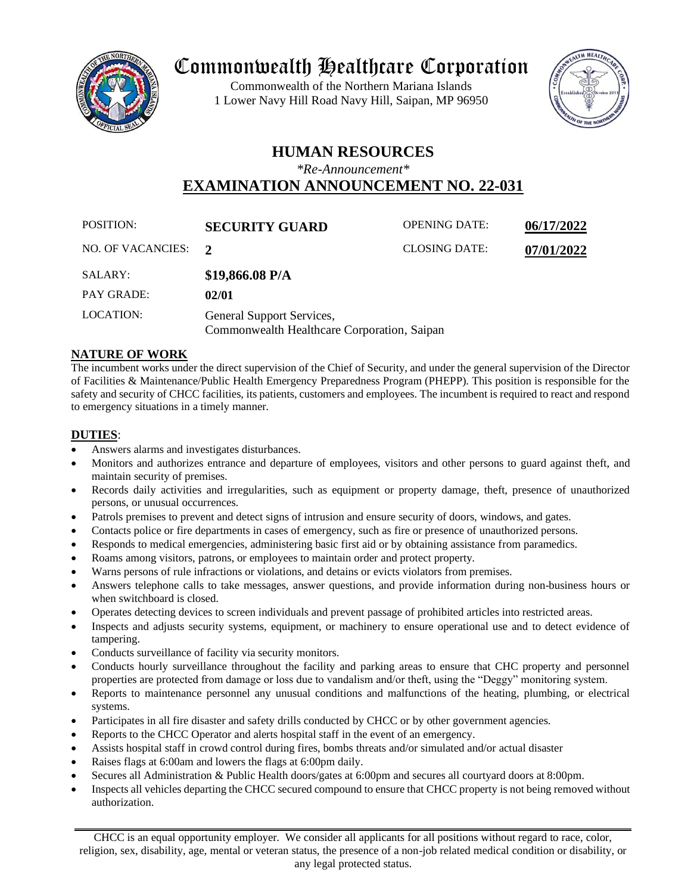

# Commonwealth Healthcare Corporation

Commonwealth of the Northern Mariana Islands 1 Lower Navy Hill Road Navy Hill, Saipan, MP 96950



# **HUMAN RESOURCES**

*\*Re-Announcement\**

**EXAMINATION ANNOUNCEMENT NO. 22-031**

| POSITION:           | <b>SECURITY GUARD</b>                                                    | <b>OPENING DATE:</b> | 06/17/2022 |
|---------------------|--------------------------------------------------------------------------|----------------------|------------|
| NO. OF VACANCIES: 2 |                                                                          | <b>CLOSING DATE:</b> | 07/01/2022 |
| SALARY:             | $$19,866.08$ P/A                                                         |                      |            |
| <b>PAY GRADE:</b>   | 02/01                                                                    |                      |            |
| LOCATION:           | General Support Services,<br>Commonwealth Healthcare Corporation, Saipan |                      |            |

### **NATURE OF WORK**

The incumbent works under the direct supervision of the Chief of Security, and under the general supervision of the Director of Facilities & Maintenance/Public Health Emergency Preparedness Program (PHEPP). This position is responsible for the safety and security of CHCC facilities, its patients, customers and employees. The incumbent is required to react and respond to emergency situations in a timely manner.

## **DUTIES**:

- Answers alarms and investigates disturbances.
- Monitors and authorizes entrance and departure of employees, visitors and other persons to guard against theft, and maintain security of premises.
- Records daily activities and irregularities, such as equipment or property damage, theft, presence of unauthorized persons, or unusual occurrences.
- Patrols premises to prevent and detect signs of intrusion and ensure security of doors, windows, and gates.
- Contacts police or fire departments in cases of emergency, such as fire or presence of unauthorized persons.
- Responds to medical emergencies, administering basic first aid or by obtaining assistance from paramedics.
- Roams among visitors, patrons, or employees to maintain order and protect property.
- Warns persons of rule infractions or violations, and detains or evicts violators from premises.
- Answers telephone calls to take messages, answer questions, and provide information during non-business hours or when switchboard is closed.
- Operates detecting devices to screen individuals and prevent passage of prohibited articles into restricted areas.
- Inspects and adjusts security systems, equipment, or machinery to ensure operational use and to detect evidence of tampering.
- Conducts surveillance of facility via security monitors.
- Conducts hourly surveillance throughout the facility and parking areas to ensure that CHC property and personnel properties are protected from damage or loss due to vandalism and/or theft, using the "Deggy" monitoring system.
- Reports to maintenance personnel any unusual conditions and malfunctions of the heating, plumbing, or electrical systems.
- Participates in all fire disaster and safety drills conducted by CHCC or by other government agencies.
- Reports to the CHCC Operator and alerts hospital staff in the event of an emergency.
- Assists hospital staff in crowd control during fires, bombs threats and/or simulated and/or actual disaster
- Raises flags at 6:00am and lowers the flags at 6:00pm daily.
- Secures all Administration & Public Health doors/gates at 6:00pm and secures all courtyard doors at 8:00pm.
- Inspects all vehicles departing the CHCC secured compound to ensure that CHCC property is not being removed without authorization.